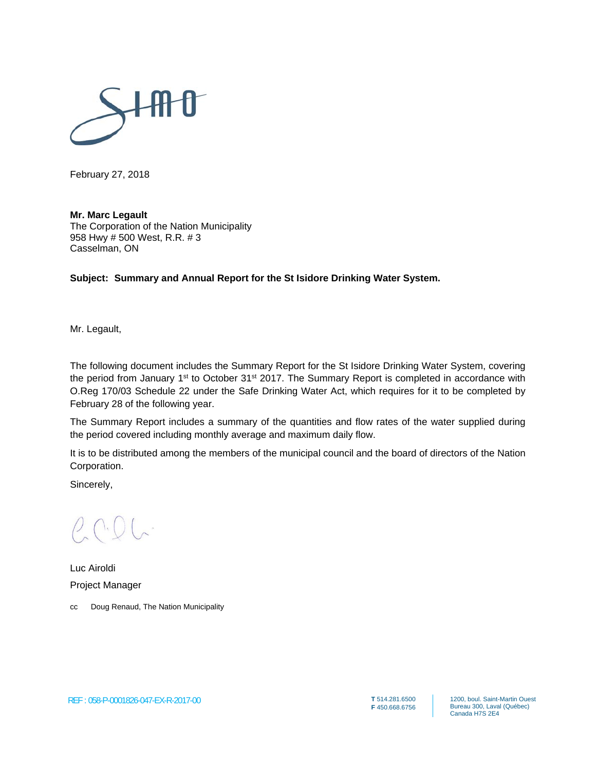

February 27, 2018

**Mr. Marc Legault**  The Corporation of the Nation Municipality 958 Hwy # 500 West, R.R. # 3 Casselman, ON

**Subject: Summary and Annual Report for the St Isidore Drinking Water System.**

Mr. Legault,

The following document includes the Summary Report for the St Isidore Drinking Water System, covering the period from January 1<sup>st</sup> to October 31<sup>st</sup> 2017. The Summary Report is completed in accordance with O.Reg 170/03 Schedule 22 under the Safe Drinking Water Act, which requires for it to be completed by February 28 of the following year.

The Summary Report includes a summary of the quantities and flow rates of the water supplied during the period covered including monthly average and maximum daily flow.

It is to be distributed among the members of the municipal council and the board of directors of the Nation Corporation.

Sincerely,

Luc Airoldi Project Manager

cc Doug Renaud, The Nation Municipality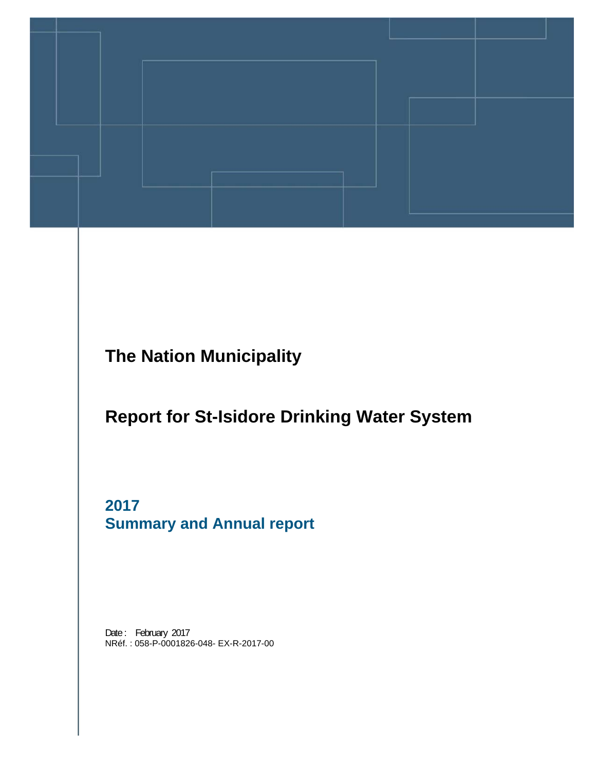

**The Nation Municipality** 

# **Report for St-Isidore Drinking Water System**

**2017 Summary and Annual report** 

Date: February 2017 NRéf. : 058-P-0001826-048- EX-R-2017-00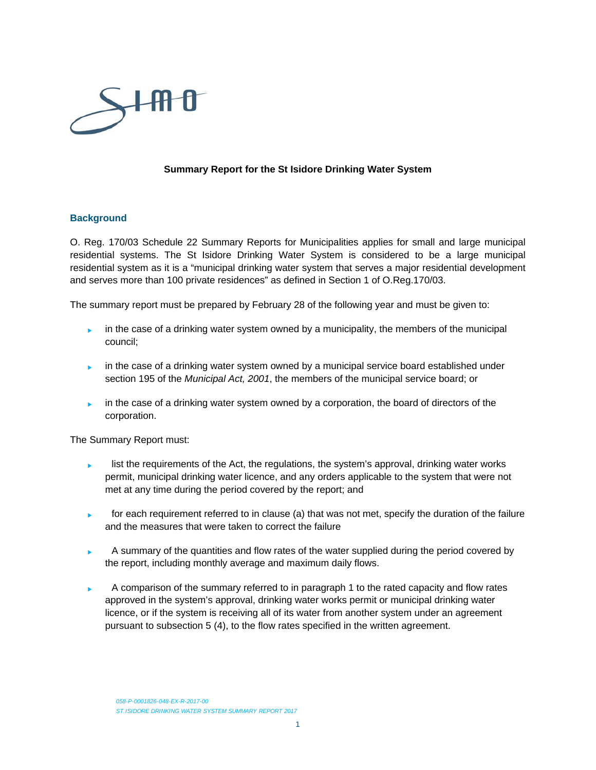

#### **Summary Report for the St Isidore Drinking Water System**

#### **Background**

O. Reg. 170/03 Schedule 22 Summary Reports for Municipalities applies for small and large municipal residential systems. The St Isidore Drinking Water System is considered to be a large municipal residential system as it is a "municipal drinking water system that serves a major residential development and serves more than 100 private residences" as defined in Section 1 of O.Reg.170/03.

The summary report must be prepared by February 28 of the following year and must be given to:

- in the case of a drinking water system owned by a municipality, the members of the municipal council;
- in the case of a drinking water system owned by a municipal service board established under section 195 of the *Municipal Act, 2001*, the members of the municipal service board; or
- in the case of a drinking water system owned by a corporation, the board of directors of the corporation.

The Summary Report must:

- list the requirements of the Act, the regulations, the system's approval, drinking water works permit, municipal drinking water licence, and any orders applicable to the system that were not met at any time during the period covered by the report; and
- for each requirement referred to in clause (a) that was not met, specify the duration of the failure and the measures that were taken to correct the failure
- A summary of the quantities and flow rates of the water supplied during the period covered by the report, including monthly average and maximum daily flows.
- A comparison of the summary referred to in paragraph 1 to the rated capacity and flow rates approved in the system's approval, drinking water works permit or municipal drinking water licence, or if the system is receiving all of its water from another system under an agreement pursuant to subsection 5 (4), to the flow rates specified in the written agreement.

*058-P-0001826-048-EX-R-2017-00 ST.ISIDORE DRINKING WATER SYSTEM SUMMARY REPORT 2017*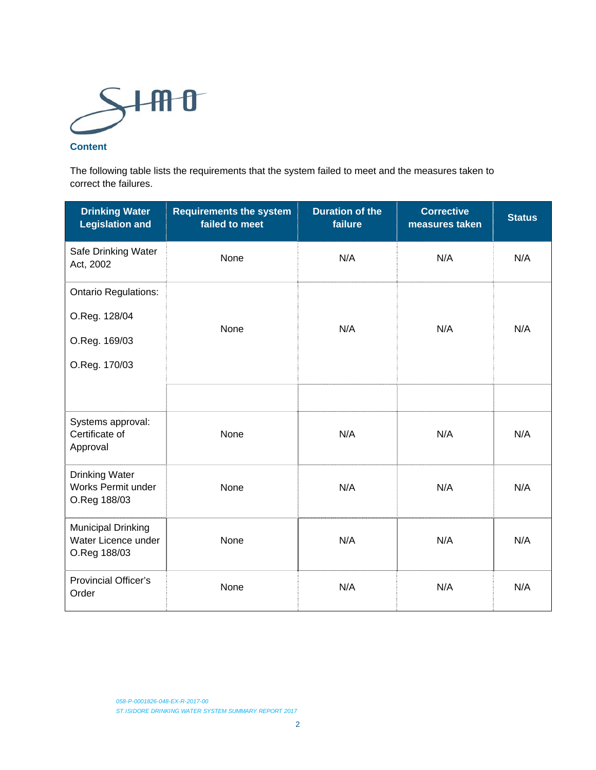

#### **Content**

The following table lists the requirements that the system failed to meet and the measures taken to correct the failures.

| <b>Drinking Water</b><br><b>Legislation and</b>                                | <b>Requirements the system</b><br>failed to meet | <b>Duration of the</b><br>failure | <b>Corrective</b><br>measures taken | <b>Status</b> |
|--------------------------------------------------------------------------------|--------------------------------------------------|-----------------------------------|-------------------------------------|---------------|
| Safe Drinking Water<br>Act, 2002                                               | None                                             | N/A                               | N/A                                 | N/A           |
| <b>Ontario Regulations:</b><br>O.Reg. 128/04<br>O.Reg. 169/03<br>O.Reg. 170/03 | None                                             | N/A                               | N/A                                 | N/A           |
|                                                                                |                                                  |                                   |                                     |               |
| Systems approval:<br>Certificate of<br>Approval                                | None                                             | N/A                               | N/A                                 | N/A           |
| <b>Drinking Water</b><br>Works Permit under<br>O.Reg 188/03                    | None                                             | N/A                               | N/A                                 | N/A           |
| <b>Municipal Drinking</b><br>Water Licence under<br>O.Reg 188/03               | None                                             | N/A                               | N/A                                 | N/A           |
| <b>Provincial Officer's</b><br>Order                                           | None                                             | N/A                               | N/A                                 | N/A           |

*058-P-0001826-048-EX-R-2017-00 ST.ISIDORE DRINKING WATER SYSTEM SUMMARY REPORT 2017*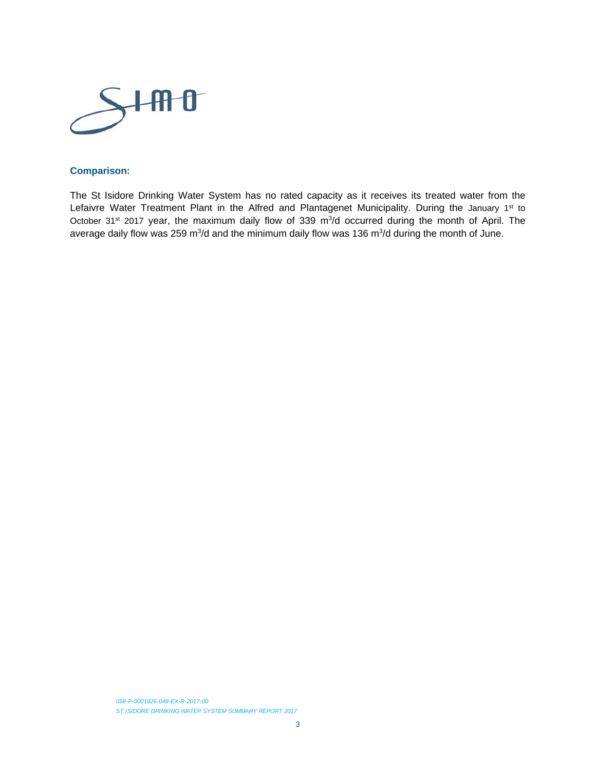

#### **Comparison:**

The St Isidore Drinking Water System has no rated capacity as it receives its treated water from the Lefaivre Water Treatment Plant in the Alfred and Plantagenet Municipality. During the January 1st to October 31<sup>st</sup> 2017 year, the maximum daily flow of 339 m<sup>3</sup>/d occurred during the month of April. The average daily flow was 259 m<sup>3</sup>/d and the minimum daily flow was 136 m<sup>3</sup>/d during the month of June.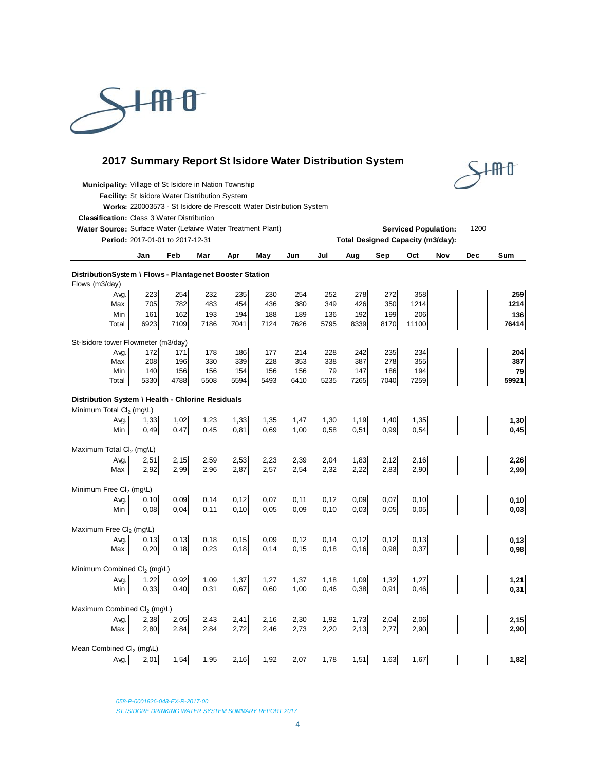

### **2017 Summary Report St Isidore Water Distribution System**



**Municipality:** Village of St Isidore in Nation Township

**Facility:** St Isidore Water Distribution System

**Works:** 220003573 - St Isidore de Prescott Water Distribution System

**Classification:** Class 3 Water Distribution

**Water Source:** Surface Water (Lefaivre Water Treatment Plant) **Serviced Population:** 1200<br> **Patied:** 2017.01.01.10.2017.12.21.21.22.1

|                                                                                           | Period: 2017-01-01 to 2017-12-31<br><b>Total Designed Capacity (m3/day):</b> |                |              |                |               |               |                |                |               |              |     |     |               |
|-------------------------------------------------------------------------------------------|------------------------------------------------------------------------------|----------------|--------------|----------------|---------------|---------------|----------------|----------------|---------------|--------------|-----|-----|---------------|
|                                                                                           | Jan                                                                          | Feb            | Mar          | Apr            | May           | Jun           | Jul            | Aug            | Sep           | Oct          | Nov | Dec | Sum           |
| DistributionSystem \ Flows - Plantagenet Booster Station<br>Flows (m3/day)                |                                                                              |                |              |                |               |               |                |                |               |              |     |     |               |
| Avg.                                                                                      | 223                                                                          | 254            | 232          | 235            | 230           | 254           | 252            | 278            | 272           | 358          |     |     | 259           |
| Max                                                                                       | 705                                                                          | 782            | 483          | 454            | 436           | 380           | 349            | 426            | 350           | 1214         |     |     | 1214          |
| Min<br>Total                                                                              | 161<br>6923                                                                  | 162<br>7109    | 193<br>7186  | 194<br>7041    | 188<br>7124   | 189<br>7626   | 136<br>5795    | 192<br>8339    | 199<br>8170   | 206<br>11100 |     |     | 136<br>76414  |
| St-Isidore tower Flowmeter (m3/day)                                                       |                                                                              |                |              |                |               |               |                |                |               |              |     |     |               |
| Avg.<br>Max                                                                               | 172<br>208                                                                   | 171<br>196     | 178<br>330   | 186<br>339     | 177<br>228    | 214<br>353    | 228<br>338     | 242<br>387     | 235<br>278    | 234<br>355   |     |     | 204<br>387    |
| Min                                                                                       | 140                                                                          | 156            | 156          | 154            | 156           | 156           | 79             | 147            | 186           | 194          |     |     | 79            |
| Total                                                                                     | 5330                                                                         | 4788           | 5508         | 5594           | 5493          | 6410          | 5235           | 7265           | 7040          | 7259         |     |     | 59921         |
| Distribution System \ Health - Chlorine Residuals<br>Minimum Total Cl <sub>2</sub> (mg\L) |                                                                              |                |              |                |               |               |                |                |               |              |     |     |               |
| Avg.                                                                                      | 1,33                                                                         | 1,02           | 1,23         | 1,33           | 1,35          | 1,47          | 1,30           | 1,19           | 1,40          | 1,35         |     |     | 1,30          |
| Min                                                                                       | 0,49                                                                         | 0,47           | 0,45         | 0,81           | 0,69          | 1,00          | 0,58           | 0,51           | 0,99          | 0,54         |     |     | 0,45          |
| Maximum Total Cl <sub>2</sub> (mg\L)                                                      |                                                                              |                |              |                |               |               |                |                |               |              |     |     |               |
| Avg.<br>Max                                                                               | 2,51<br>2,92                                                                 | 2,15<br>2,99   | 2,59<br>2,96 | 2,53<br>2,87   | 2,23<br>2,57  | 2,39<br>2,54  | 2,04<br>2,32   | 1,83<br>2,22   | 2,12<br>2,83  | 2,16<br>2,90 |     |     | 2,26<br>2,99  |
| Minimum Free Cl <sub>2</sub> (mg\L)                                                       |                                                                              |                |              |                |               |               |                |                |               |              |     |     |               |
| Avg.                                                                                      | 0, 10                                                                        | 0,09           | 0,14         | 0, 12          | 0,07          | 0, 11         | 0, 12          | 0,09           | 0,07          | 0, 10        |     |     | 0, 10         |
| Min                                                                                       | 0,08                                                                         | 0,04           | 0,11         | 0, 10          | 0,05          | 0,09          | 0, 10          | 0,03           | 0,05          | 0,05         |     |     | 0,03          |
| Maximum Free Cl <sub>2</sub> (mg\L)                                                       |                                                                              |                |              |                |               |               |                |                |               |              |     |     |               |
| Avg.                                                                                      | 0, 13<br>0,20                                                                | 0, 13<br>0, 18 | 0,18<br>0,23 | 0, 15<br>0, 18 | 0,09<br>0, 14 | 0,12<br>0, 15 | 0, 14<br>0, 18 | 0, 12<br>0, 16 | 0, 12<br>0,98 | 0,13<br>0,37 |     |     | 0, 13<br>0,98 |
| Max                                                                                       |                                                                              |                |              |                |               |               |                |                |               |              |     |     |               |
| Minimum Combined Cl <sub>2</sub> (mg\L)                                                   |                                                                              |                |              |                |               |               |                |                |               |              |     |     |               |
| Avg.<br>Min                                                                               | 1,22<br>0,33                                                                 | 0,92<br>0,40   | 1,09<br>0,31 | 1,37<br>0,67   | 1,27<br>0,60  | 1,37<br>1,00  | 1,18<br>0,46   | 1,09<br>0,38   | 1,32<br>0,91  | 1,27<br>0,46 |     |     | 1,21<br>0,31  |
| Maximum Combined Cl <sub>2</sub> (mg\L)                                                   |                                                                              |                |              |                |               |               |                |                |               |              |     |     |               |
| Avg.                                                                                      | 2,38                                                                         | 2,05           | 2,43         | 2,41           | 2,16          | 2,30          | 1,92           | 1,73           | 2,04          | 2,06         |     |     | 2,15          |
| Max                                                                                       | 2,80                                                                         | 2,84           | 2,84         | 2,72           | 2,46          | 2,73          | 2,20           | 2,13           | 2,77          | 2,90         |     |     | 2,90          |
| Mean Combined Cl <sub>2</sub> (mg\L)                                                      |                                                                              |                |              |                |               |               |                |                |               |              |     |     |               |
| Avg.                                                                                      | 2,01                                                                         | 1,54           | 1,95         | 2,16           | 1,92          | 2,07          | 1,78           | 1,51           | 1,63          | 1,67         |     |     | 1,82          |

*058-P-0001826-048-EX-R-2017-00* 

*ST.ISIDORE DRINKING WATER SYSTEM SUMMARY REPORT 2017*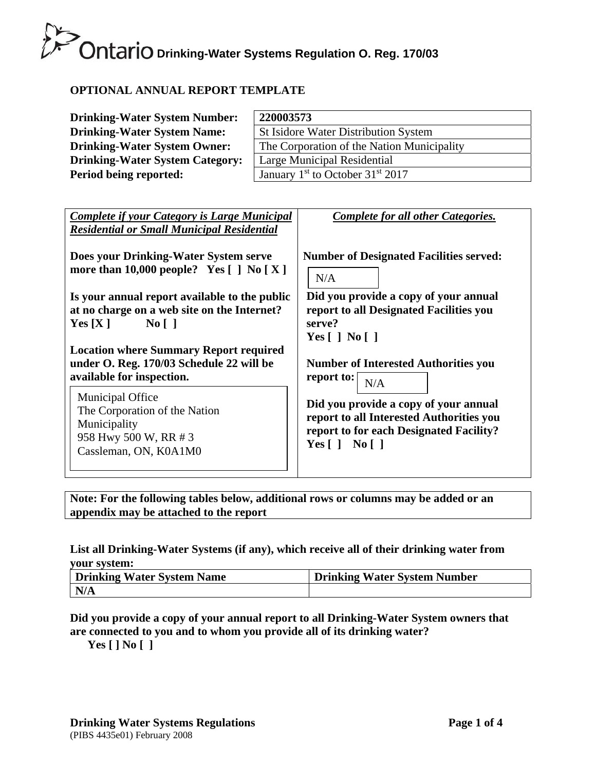# **OPTIONAL ANNUAL REPORT TEMPLATE**

| <b>Drinking-Water System Number:</b>   | 220003573                                                |
|----------------------------------------|----------------------------------------------------------|
| <b>Drinking-Water System Name:</b>     | <b>St Isidore Water Distribution System</b>              |
| <b>Drinking-Water System Owner:</b>    | The Corporation of the Nation Municipality               |
| <b>Drinking-Water System Category:</b> | Large Municipal Residential                              |
| Period being reported:                 | January 1 <sup>st</sup> to October 31 <sup>st</sup> 2017 |

| <b>Complete if your Category is Large Municipal</b><br><b>Residential or Small Municipal Residential</b>                   | Complete for all other Categories.                                                                                                                         |
|----------------------------------------------------------------------------------------------------------------------------|------------------------------------------------------------------------------------------------------------------------------------------------------------|
| Does your Drinking-Water System serve                                                                                      | <b>Number of Designated Facilities served:</b>                                                                                                             |
| more than 10,000 people? Yes $[ ]$ No $[ X ]$                                                                              | N/A                                                                                                                                                        |
| Is your annual report available to the public                                                                              | Did you provide a copy of your annual                                                                                                                      |
| at no charge on a web site on the Internet?                                                                                | report to all Designated Facilities you                                                                                                                    |
| Yes[X]                                                                                                                     | serve?                                                                                                                                                     |
| $\overline{N_0}$   $\overline{)}$                                                                                          | Yes $\lceil \cdot \rceil$ No $\lceil \cdot \rceil$                                                                                                         |
| <b>Location where Summary Report required</b>                                                                              | <b>Number of Interested Authorities you</b>                                                                                                                |
| under O. Reg. 170/03 Schedule 22 will be                                                                                   | report to:                                                                                                                                                 |
| available for inspection.                                                                                                  | N/A                                                                                                                                                        |
| <b>Municipal Office</b><br>The Corporation of the Nation<br>Municipality<br>958 Hwy 500 W, RR # 3<br>Cassleman, ON, K0A1M0 | Did you provide a copy of your annual<br>report to all Interested Authorities you<br>report to for each Designated Facility?<br>Yes $\lceil$   No $\lceil$ |

**Note: For the following tables below, additional rows or columns may be added or an appendix may be attached to the report** 

### **List all Drinking-Water Systems (if any), which receive all of their drinking water from your system:**

| Drinking Water System Name | <b>Drinking Water System Number</b> |
|----------------------------|-------------------------------------|
| N/A                        |                                     |

# **Did you provide a copy of your annual report to all Drinking-Water System owners that are connected to you and to whom you provide all of its drinking water?**

**Yes [ ] No [ ]**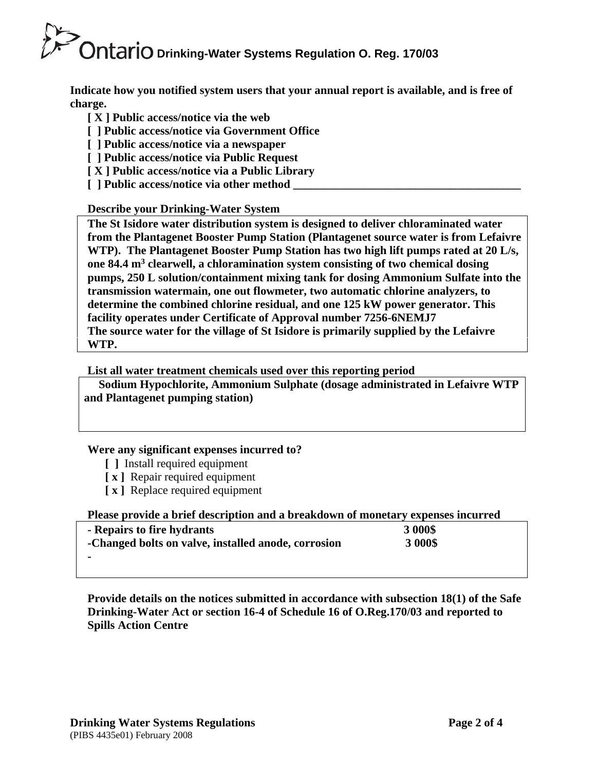**Indicate how you notified system users that your annual report is available, and is free of charge.** 

- **[ X ] Public access/notice via the web**
- **[ ] Public access/notice via Government Office**
- **[ ] Public access/notice via a newspaper**
- **[ ] Public access/notice via Public Request**
- **[ X ] Public access/notice via a Public Library**
- **[** ] Public access/notice via other method

# **Describe your Drinking-Water System**

**The St Isidore water distribution system is designed to deliver chloraminated water from the Plantagenet Booster Pump Station (Plantagenet source water is from Lefaivre WTP). The Plantagenet Booster Pump Station has two high lift pumps rated at 20 L/s, one 84.4 m3 clearwell, a chloramination system consisting of two chemical dosing pumps, 250 L solution/containment mixing tank for dosing Ammonium Sulfate into the transmission watermain, one out flowmeter, two automatic chlorine analyzers, to determine the combined chlorine residual, and one 125 kW power generator. This facility operates under Certificate of Approval number 7256-6NEMJ7 The source water for the village of St Isidore is primarily supplied by the Lefaivre WTP.** 

# **List all water treatment chemicals used over this reporting period**

 **Sodium Hypochlorite, Ammonium Sulphate (dosage administrated in Lefaivre WTP and Plantagenet pumping station)** 

# **Were any significant expenses incurred to?**

- **[ ]** Install required equipment
- **[ x ]** Repair required equipment
- **[ x ]** Replace required equipment

# **Please provide a brief description and a breakdown of monetary expenses incurred**

| - Repairs to fire hydrants                          | 3 000\$ |
|-----------------------------------------------------|---------|
| -Changed bolts on valve, installed anode, corrosion | 3 000\$ |
|                                                     |         |

**Provide details on the notices submitted in accordance with subsection 18(1) of the Safe Drinking-Water Act or section 16-4 of Schedule 16 of O.Reg.170/03 and reported to Spills Action Centre**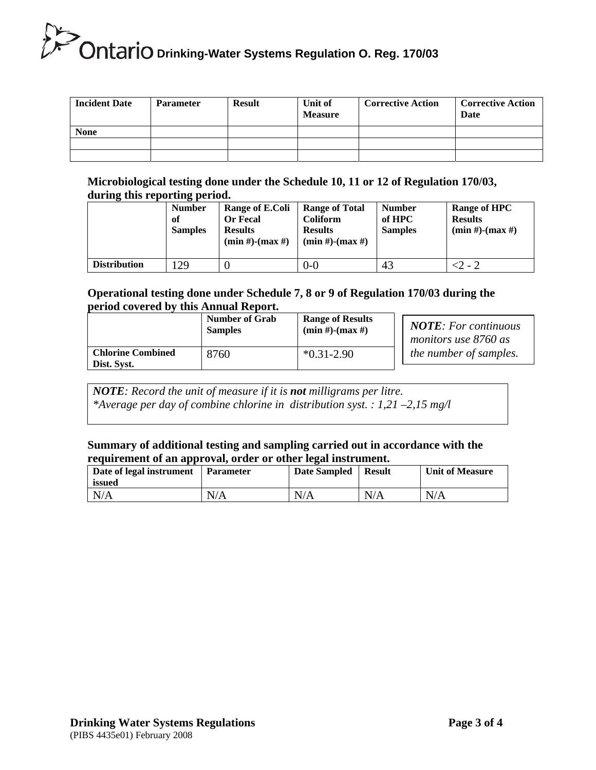| <b>Incident Date</b> | <b>Parameter</b> | <b>Result</b> | Unit of<br><b>Measure</b> | <b>Corrective Action</b> | <b>Corrective Action</b><br>Date |
|----------------------|------------------|---------------|---------------------------|--------------------------|----------------------------------|
| <b>None</b>          |                  |               |                           |                          |                                  |
|                      |                  |               |                           |                          |                                  |
|                      |                  |               |                           |                          |                                  |

### **Microbiological testing done under the Schedule 10, 11 or 12 of Regulation 170/03, during this reporting period.**

|                     | $\sigma$ 1<br><b>Number</b><br>of<br><b>Samples</b> | Range of E.Coli<br><b>Or Fecal</b><br><b>Results</b><br>$(min #)$ - $(max #)$ | <b>Range of Total</b><br><b>Coliform</b><br><b>Results</b><br>$(min #)$ - $(max #)$ | <b>Number</b><br>of HPC<br><b>Samples</b> | Range of HPC<br><b>Results</b><br>$(min #)-(max #)$ |
|---------------------|-----------------------------------------------------|-------------------------------------------------------------------------------|-------------------------------------------------------------------------------------|-------------------------------------------|-----------------------------------------------------|
| <b>Distribution</b> | 29                                                  |                                                                               | $0 - 0$                                                                             | 43                                        | <2 - 2                                              |

### **Operational testing done under Schedule 7, 8 or 9 of Regulation 170/03 during the period covered by this Annual Report.**

|                                         | <b>Number of Grab</b> | <b>Range of Results</b> | <b>NOTE:</b> For continuous   |
|-----------------------------------------|-----------------------|-------------------------|-------------------------------|
|                                         | <b>Samples</b>        | $(min #)$ - $(max #)$   | monitors use 8760 as          |
| <b>Chlorine Combined</b><br>Dist. Syst. | 8760                  | $*0.31 - 2.90$          | <i>the number of samples.</i> |

*NOTE: Record the unit of measure if it is not milligrams per litre. \*Average per day of combine chlorine in distribution syst. : 1,21 –2,15 mg/l* 

#### **Summary of additional testing and sampling carried out in accordance with the requirement of an approval, order or other legal instrument.**

| Date of legal instrument<br>issued | <b>Parameter</b> | Date Sampled | <b>Result</b> | <b>Unit of Measure</b> |
|------------------------------------|------------------|--------------|---------------|------------------------|
| N/A                                | N/A              | N/A          | N/A           | N/A                    |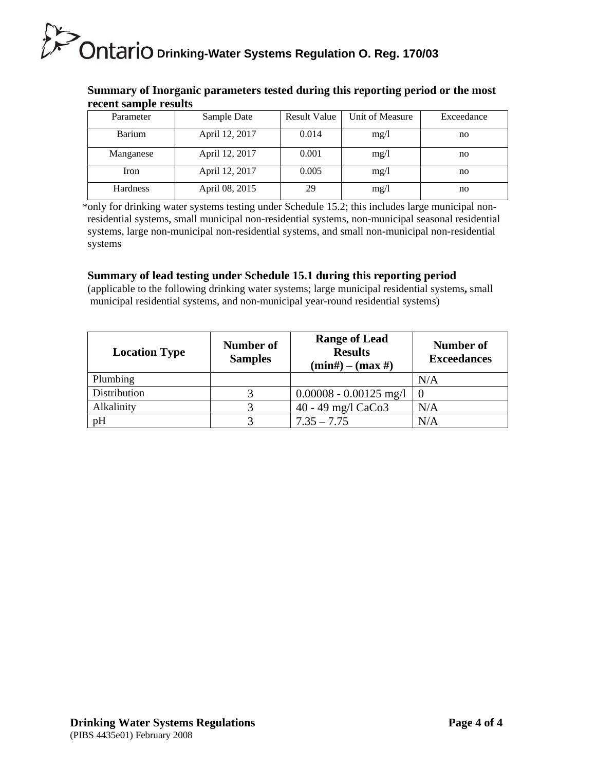| Tectul Salifue Tesults |                |                     |                 |            |
|------------------------|----------------|---------------------|-----------------|------------|
| Parameter              | Sample Date    | <b>Result Value</b> | Unit of Measure | Exceedance |
| Barium                 | April 12, 2017 | 0.014               | mg/1            | no         |
| Manganese              | April 12, 2017 | 0.001               | mg/1            | no         |
| Iron                   | April 12, 2017 | 0.005               | mg/l            | no         |
| <b>Hardness</b>        | April 08, 2015 | 29                  | mg/1            | no         |

### **Summary of Inorganic parameters tested during this reporting period or the most recent sample results**

 \*only for drinking water systems testing under Schedule 15.2; this includes large municipal nonresidential systems, small municipal non-residential systems, non-municipal seasonal residential systems, large non-municipal non-residential systems, and small non-municipal non-residential systems

# **Summary of lead testing under Schedule 15.1 during this reporting period**

(applicable to the following drinking water systems; large municipal residential systems**,** small municipal residential systems, and non-municipal year-round residential systems)

| <b>Location Type</b> | <b>Number of</b><br><b>Samples</b> | <b>Range of Lead</b><br><b>Results</b><br>$(min#) - (max#)$ | Number of<br><b>Exceedances</b> |
|----------------------|------------------------------------|-------------------------------------------------------------|---------------------------------|
| Plumbing             |                                    |                                                             | N/A                             |
| Distribution         |                                    | $0.00008 - 0.00125$ mg/l                                    |                                 |
| Alkalinity           |                                    | $40 - 49$ mg/l CaCo3                                        | N/A                             |
| pH                   |                                    | $7.35 - 7.75$                                               | N/A                             |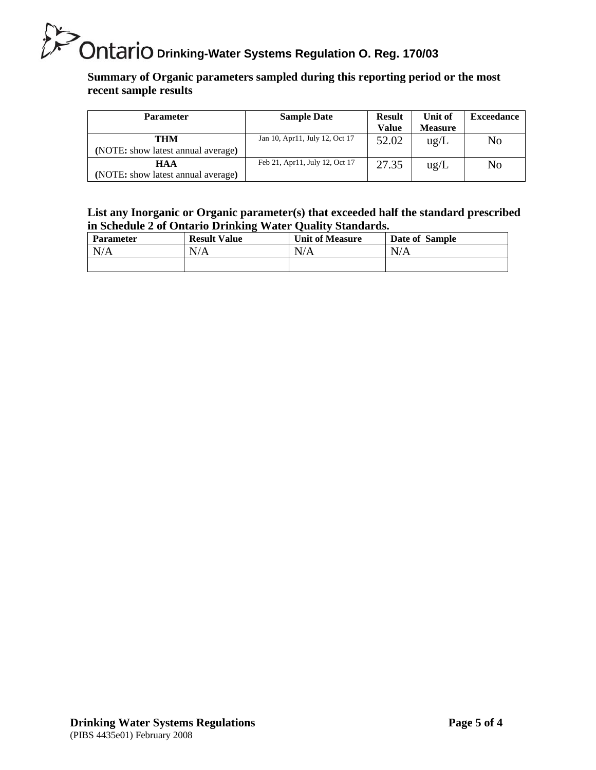**Summary of Organic parameters sampled during this reporting period or the most recent sample results** 

| <b>Parameter</b>                                 | <b>Sample Date</b>             | <b>Result</b><br><b>Value</b> | Unit of<br><b>Measure</b> | <b>Exceedance</b> |
|--------------------------------------------------|--------------------------------|-------------------------------|---------------------------|-------------------|
| THM<br>(NOTE: show latest annual average)        | Jan 10, Apr11, July 12, Oct 17 | 52.02                         | $\text{ug/L}$             | No                |
| <b>HAA</b><br>(NOTE: show latest annual average) | Feb 21, Apr11, July 12, Oct 17 | 27.35                         | $\text{ug/L}$             | No                |

### **List any Inorganic or Organic parameter(s) that exceeded half the standard prescribed in Schedule 2 of Ontario Drinking Water Quality Standards.**

| Parameter | <b>Result Value</b> | <b>Unit of Measure</b> | Date of Sample |
|-----------|---------------------|------------------------|----------------|
| N/A       | N/A                 | N/A                    | N/A            |
|           |                     |                        |                |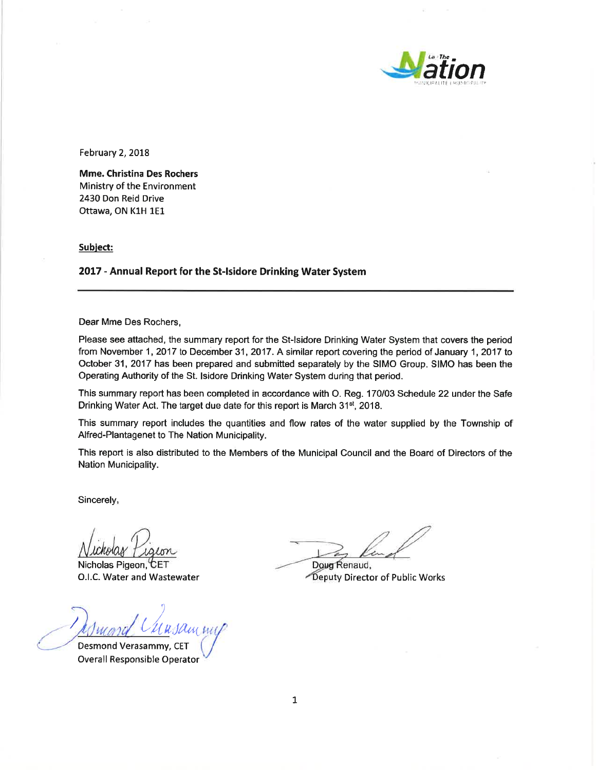

February 2, 2018

**Mme. Christina Des Rochers** Ministry of the Environment 2430 Don Reid Drive Ottawa, ON K1H 1E1

Subject:

2017 - Annual Report for the St-Isidore Drinking Water System

Dear Mme Des Rochers,

Please see attached, the summary report for the St-Isidore Drinking Water System that covers the period from November 1, 2017 to December 31, 2017. A similar report covering the period of January 1, 2017 to October 31, 2017 has been prepared and submitted separately by the SIMO Group. SIMO has been the Operating Authority of the St. Isidore Drinking Water System during that period.

This summary report has been completed in accordance with O. Reg. 170/03 Schedule 22 under the Safe Drinking Water Act. The target due date for this report is March 31<sup>st</sup>, 2018.

This summary report includes the quantities and flow rates of the water supplied by the Township of Alfred-Plantagenet to The Nation Municipality.

This report is also distributed to the Members of the Municipal Council and the Board of Directors of the Nation Municipality.

Sincerely,

Nicholas Pigeon, CET O.I.C. Water and Wastewater

Desmond Verasammy, CET

**Overall Responsible Operator** 

Doug Renaud, Deputy Director of Public Works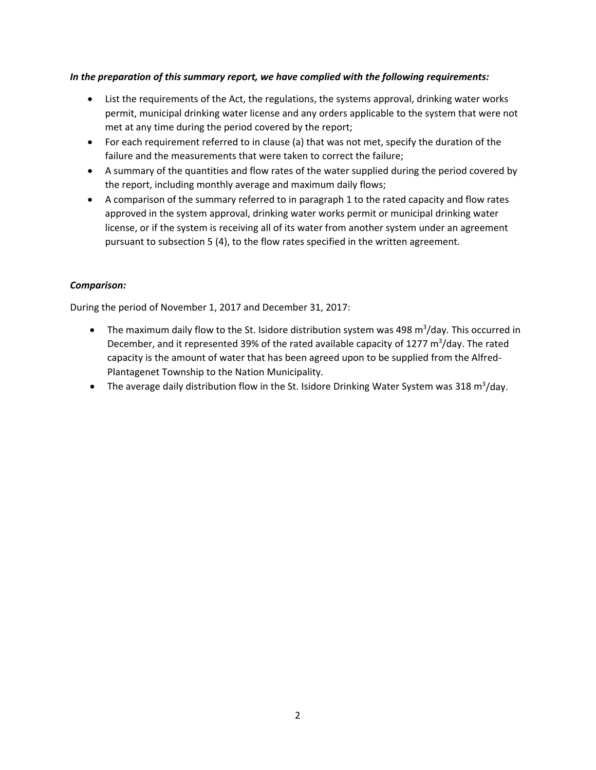#### *In the preparation of this summary report, we have complied with the following requirements:*

- List the requirements of the Act, the regulations, the systems approval, drinking water works permit, municipal drinking water license and any orders applicable to the system that were not met at any time during the period covered by the report;
- For each requirement referred to in clause (a) that was not met, specify the duration of the failure and the measurements that were taken to correct the failure;
- A summary of the quantities and flow rates of the water supplied during the period covered by the report, including monthly average and maximum daily flows;
- A comparison of the summary referred to in paragraph 1 to the rated capacity and flow rates approved in the system approval, drinking water works permit or municipal drinking water license, or if the system is receiving all of its water from another system under an agreement pursuant to subsection 5 (4), to the flow rates specified in the written agreement.

#### *Comparison:*

During the period of November 1, 2017 and December 31, 2017:

- The maximum daily flow to the St. Isidore distribution system was 498 m<sup>3</sup>/day. This occurred in December, and it represented 39% of the rated available capacity of 1277 m<sup>3</sup>/day. The rated capacity is the amount of water that has been agreed upon to be supplied from the Alfred‐ Plantagenet Township to the Nation Municipality.
- The average daily distribution flow in the St. Isidore Drinking Water System was 318 m<sup>3</sup>/day.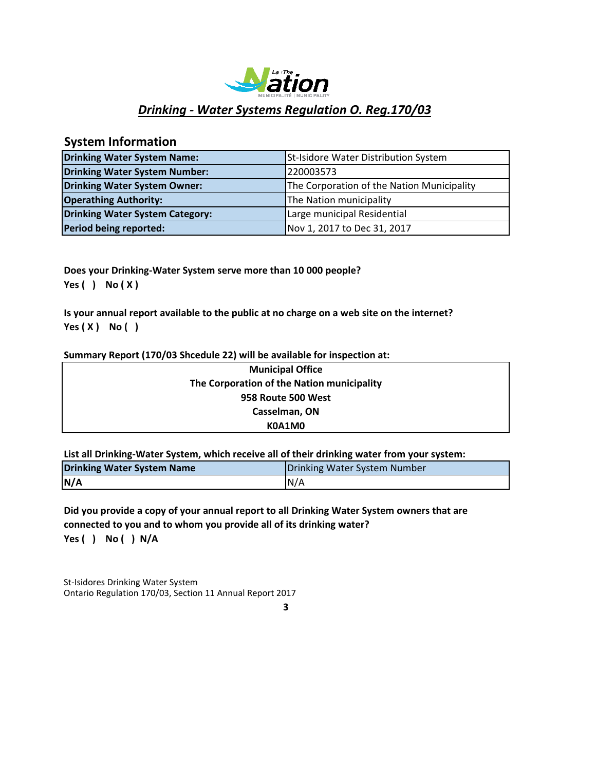

# **System Information**

| <b>Drinking Water System Name:</b>     | St-Isidore Water Distribution System       |
|----------------------------------------|--------------------------------------------|
| Drinking Water System Number:          | 220003573                                  |
| Drinking Water System Owner:           | The Corporation of the Nation Municipality |
| <b>Operathing Authority:</b>           | The Nation municipality                    |
| <b>Drinking Water System Category:</b> | Large municipal Residential                |
| Period being reported:                 | Nov 1, 2017 to Dec 31, 2017                |

**Does your Drinking‐Water System serve more than 10 000 people? Yes ( ) No ( X )**

**Is your annual report available to the public at no charge on a web site on the internet? Yes ( X ) No ( )**

#### **Summary Report (170/03 Shcedule 22) will be available for inspection at:**

| <b>Municipal Office</b>                    |  |
|--------------------------------------------|--|
| The Corporation of the Nation municipality |  |
| 958 Route 500 West                         |  |
| Casselman, ON                              |  |
| K0A1M0                                     |  |

**List all Drinking‐Water System, which receive all of their drinking water from your system:**

| <b>Drinking Water System Name</b> | Drinking Water System Number |
|-----------------------------------|------------------------------|
| N/A                               | IN/A                         |

**Yes ( ) No ( ) N/A Did you provide a copy of your annual report to all Drinking Water System owners that are connected to you and to whom you provide all of its drinking water?**

St-Isidores Drinking Water System Ontario Regulation 170/03, Section 11 Annual Report 2017

**3**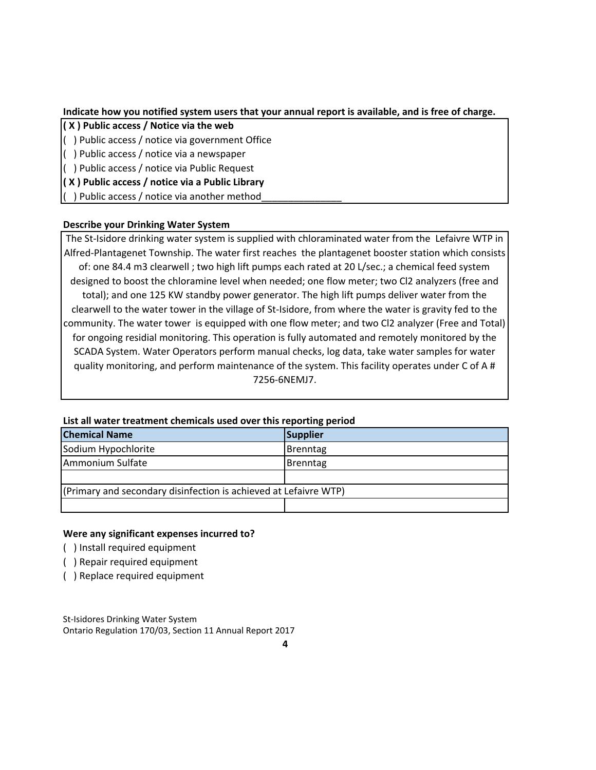#### **Indicate how you notified system users that your annual report is available, and is free of charge.**

- **( X ) Public access / Notice via the web**
- ( ) Public access / notice via government Office
- ( ) Public access / notice via a newspaper
- ( ) Public access / notice via Public Request
- **( X ) Public access / notice via a Public Library**

( ) Public access / notice via another method\_\_\_\_\_\_\_\_\_\_\_\_\_\_\_

#### **Describe your Drinking Water System**

The St-Isidore drinking water system is supplied with chloraminated water from the Lefaivre WTP in Alfred‐Plantagenet Township. The water first reaches the plantagenet booster station which consists of: one 84.4 m3 clearwell ; two high lift pumps each rated at 20 L/sec.; a chemical feed system designed to boost the chloramine level when needed; one flow meter; two Cl2 analyzers (free and total); and one 125 KW standby power generator. The high lift pumps deliver water from the clearwell to the water tower in the village of St‐Isidore, from where the water is gravity fed to the community. The water tower is equipped with one flow meter; and two Cl2 analyzer (Free and Total) for ongoing residial monitoring. This operation is fully automated and remotely monitored by the SCADA System. Water Operators perform manual checks, log data, take water samples for water quality monitoring, and perform maintenance of the system. This facility operates under C of A # 7256‐6NEMJ7.

| List all water treatment chemicals used over this reporting period |          |  |  |  |
|--------------------------------------------------------------------|----------|--|--|--|
| <b>Chemical Name</b>                                               | Supplier |  |  |  |
| Sodium Hypochlorite                                                | Brenntag |  |  |  |
| Ammonium Sulfate                                                   | Brenntag |  |  |  |
|                                                                    |          |  |  |  |
| (Primary and secondary disinfection is achieved at Lefaivre WTP)   |          |  |  |  |
|                                                                    |          |  |  |  |

#### **List all water treatment chemicals used over this reporting period**

#### **Were any significant expenses incurred to?**

- ( ) Install required equipment
- ( ) Repair required equipment
- ( ) Replace required equipment

St‐Isidores Drinking Water System Ontario Regulation 170/03, Section 11 Annual Report 2017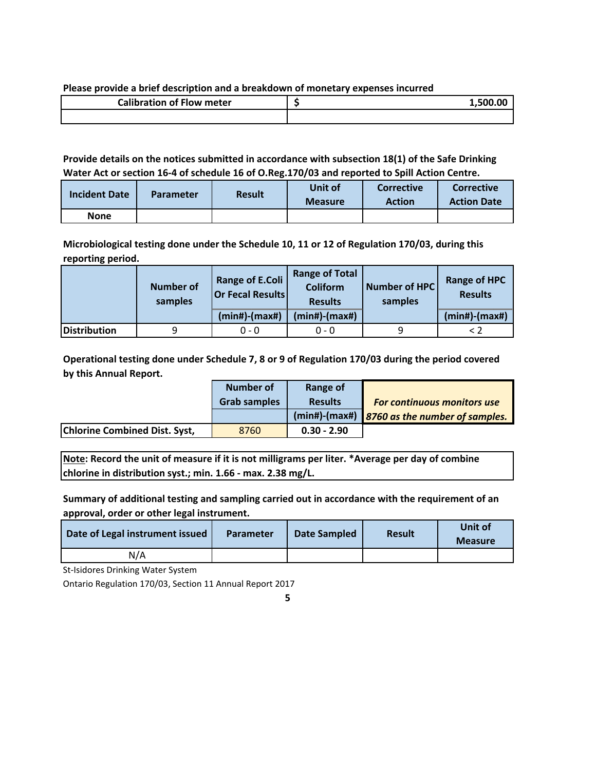#### **Please provide a brief description and a breakdown of monetary expenses incurred**

| <b>Calibration of Flow meter</b> | 1.500.00 |
|----------------------------------|----------|
|                                  |          |

#### **Provide details on the notices submitted in accordance with subsection 18(1) of the Safe Drinking Water Act or section 16‐4 of schedule 16 of O.Reg.170/03 and reported to Spill Action Centre.**

| <b>Incident Date</b> | <b>Parameter</b> | <b>Result</b> | Unit of<br><b>Measure</b> | <b>Corrective</b><br><b>Action</b> | <b>Corrective</b><br><b>Action Date</b> |
|----------------------|------------------|---------------|---------------------------|------------------------------------|-----------------------------------------|
| None                 |                  |               |                           |                                    |                                         |

**Microbiological testing done under the Schedule 10, 11 or 12 of Regulation 170/03, during this reporting period.**

|              | <b>Number of</b><br>samples | <b>Range of E.Coli</b><br><b>Or Fecal Results</b> | <b>Range of Total</b><br><b>Coliform</b><br><b>Results</b> | Number of HPC<br>samples | <b>Range of HPC</b><br><b>Results</b> |
|--------------|-----------------------------|---------------------------------------------------|------------------------------------------------------------|--------------------------|---------------------------------------|
|              |                             | $(min#)$ - $(max#)$                               | $(min#)$ - $(max#)$                                        |                          | $(min#)$ - $(max#)$                   |
| Distribution | a                           | $0 - 0$                                           | ი - ი                                                      | q                        |                                       |

**Operational testing done under Schedule 7, 8 or 9 of Regulation 170/03 during the period covered by this Annual Report.**

|                                      | Number of           | Range of       |                                              |
|--------------------------------------|---------------------|----------------|----------------------------------------------|
|                                      | <b>Grab samples</b> | <b>Results</b> | <b>For continuous monitors use</b>           |
|                                      |                     |                | (min#)-(max#) 8760 as the number of samples. |
| <b>Chlorine Combined Dist. Syst,</b> | 8760                | $0.30 - 2.90$  |                                              |

**Note: Record the unit of measure if it is not milligrams per liter. \*Average per day of combine chlorine in distribution syst.; min. 1.66 ‐ max. 2.38 mg/L.**

**Summary of additional testing and sampling carried out in accordance with the requirement of an approval, order or other legal instrument.**

| Date of Legal instrument issued | <b>Parameter</b> | Date Sampled | <b>Result</b> | Unit of<br><b>Measure</b> |
|---------------------------------|------------------|--------------|---------------|---------------------------|
| N/A                             |                  |              |               |                           |

St-Isidores Drinking Water System

Ontario Regulation 170/03, Section 11 Annual Report 2017